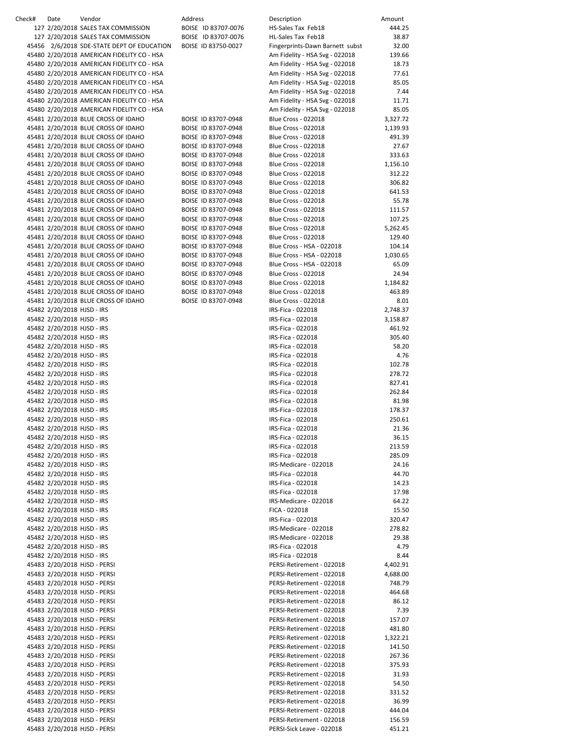| Check# | Date                       | Vendor                                     | Address |                     | Description                     | Amount   |
|--------|----------------------------|--------------------------------------------|---------|---------------------|---------------------------------|----------|
|        |                            | 127 2/20/2018 SALES TAX COMMISSION         |         | BOISE ID 83707-0076 | HS-Sales Tax Feb18              | 444.25   |
|        |                            | 127 2/20/2018 SALES TAX COMMISSION         |         | BOISE ID 83707-0076 | HL-Sales Tax Feb18              | 38.87    |
|        |                            | 45456 2/6/2018 SDE-STATE DEPT OF EDUCATION |         | BOISE ID 83750-0027 | Fingerprints-Dawn Barnett subst | 32.00    |
|        |                            |                                            |         |                     |                                 |          |
|        |                            | 45480 2/20/2018 AMERICAN FIDELITY CO - HSA |         |                     | Am Fidelity - HSA Svg - 022018  | 139.66   |
|        |                            | 45480 2/20/2018 AMERICAN FIDELITY CO - HSA |         |                     | Am Fidelity - HSA Svg - 022018  | 18.73    |
|        |                            | 45480 2/20/2018 AMERICAN FIDELITY CO - HSA |         |                     | Am Fidelity - HSA Svg - 022018  | 77.61    |
|        |                            | 45480 2/20/2018 AMERICAN FIDELITY CO - HSA |         |                     | Am Fidelity - HSA Svg - 022018  | 85.05    |
|        |                            | 45480 2/20/2018 AMERICAN FIDELITY CO - HSA |         |                     | Am Fidelity - HSA Svg - 022018  | 7.44     |
|        |                            |                                            |         |                     |                                 |          |
|        |                            | 45480 2/20/2018 AMERICAN FIDELITY CO - HSA |         |                     | Am Fidelity - HSA Svg - 022018  | 11.71    |
|        |                            | 45480 2/20/2018 AMERICAN FIDELITY CO - HSA |         |                     | Am Fidelity - HSA Svg - 022018  | 85.05    |
|        |                            | 45481 2/20/2018 BLUE CROSS OF IDAHO        |         | BOISE ID 83707-0948 | <b>Blue Cross - 022018</b>      | 3,327.72 |
|        |                            | 45481 2/20/2018 BLUE CROSS OF IDAHO        |         | BOISE ID 83707-0948 | <b>Blue Cross - 022018</b>      | 1,139.93 |
|        |                            | 45481 2/20/2018 BLUE CROSS OF IDAHO        |         | BOISE ID 83707-0948 | <b>Blue Cross - 022018</b>      | 491.39   |
|        |                            |                                            |         |                     |                                 |          |
|        |                            | 45481 2/20/2018 BLUE CROSS OF IDAHO        |         | BOISE ID 83707-0948 | <b>Blue Cross - 022018</b>      | 27.67    |
|        |                            | 45481 2/20/2018 BLUE CROSS OF IDAHO        |         | BOISE ID 83707-0948 | <b>Blue Cross - 022018</b>      | 333.63   |
|        |                            | 45481 2/20/2018 BLUE CROSS OF IDAHO        |         | BOISE ID 83707-0948 | <b>Blue Cross - 022018</b>      | 1,156.10 |
|        |                            | 45481 2/20/2018 BLUE CROSS OF IDAHO        |         | BOISE ID 83707-0948 | <b>Blue Cross - 022018</b>      | 312.22   |
|        |                            | 45481 2/20/2018 BLUE CROSS OF IDAHO        |         | BOISE ID 83707-0948 | <b>Blue Cross - 022018</b>      | 306.82   |
|        |                            |                                            |         |                     |                                 |          |
|        |                            | 45481 2/20/2018 BLUE CROSS OF IDAHO        |         | BOISE ID 83707-0948 | <b>Blue Cross - 022018</b>      | 641.53   |
|        |                            | 45481 2/20/2018 BLUE CROSS OF IDAHO        |         | BOISE ID 83707-0948 | <b>Blue Cross - 022018</b>      | 55.78    |
|        |                            | 45481 2/20/2018 BLUE CROSS OF IDAHO        |         | BOISE ID 83707-0948 | <b>Blue Cross - 022018</b>      | 111.57   |
|        |                            | 45481 2/20/2018 BLUE CROSS OF IDAHO        |         | BOISE ID 83707-0948 | <b>Blue Cross - 022018</b>      | 107.25   |
|        |                            | 45481 2/20/2018 BLUE CROSS OF IDAHO        |         | BOISE ID 83707-0948 | <b>Blue Cross - 022018</b>      | 5,262.45 |
|        |                            |                                            |         |                     |                                 |          |
|        |                            | 45481 2/20/2018 BLUE CROSS OF IDAHO        |         | BOISE ID 83707-0948 | <b>Blue Cross - 022018</b>      | 129.40   |
|        |                            | 45481 2/20/2018 BLUE CROSS OF IDAHO        |         | BOISE ID 83707-0948 | Blue Cross - HSA - 022018       | 104.14   |
|        |                            | 45481 2/20/2018 BLUE CROSS OF IDAHO        |         | BOISE ID 83707-0948 | Blue Cross - HSA - 022018       | 1,030.65 |
|        |                            | 45481 2/20/2018 BLUE CROSS OF IDAHO        |         | BOISE ID 83707-0948 | Blue Cross - HSA - 022018       | 65.09    |
|        |                            | 45481 2/20/2018 BLUE CROSS OF IDAHO        |         | BOISE ID 83707-0948 | <b>Blue Cross - 022018</b>      | 24.94    |
|        |                            |                                            |         |                     |                                 |          |
|        |                            | 45481 2/20/2018 BLUE CROSS OF IDAHO        |         | BOISE ID 83707-0948 | <b>Blue Cross - 022018</b>      | 1,184.82 |
|        |                            | 45481 2/20/2018 BLUE CROSS OF IDAHO        |         | BOISE ID 83707-0948 | <b>Blue Cross - 022018</b>      | 463.89   |
|        |                            | 45481 2/20/2018 BLUE CROSS OF IDAHO        |         | BOISE ID 83707-0948 | <b>Blue Cross - 022018</b>      | 8.01     |
|        | 45482 2/20/2018 HJSD - IRS |                                            |         |                     | IRS-Fica - 022018               | 2,748.37 |
|        | 45482 2/20/2018 HJSD - IRS |                                            |         |                     | IRS-Fica - 022018               | 3,158.87 |
|        | 45482 2/20/2018 HJSD - IRS |                                            |         |                     | IRS-Fica - 022018               | 461.92   |
|        |                            |                                            |         |                     |                                 |          |
|        | 45482 2/20/2018 HJSD - IRS |                                            |         |                     | IRS-Fica - 022018               | 305.40   |
|        | 45482 2/20/2018 HJSD - IRS |                                            |         |                     | IRS-Fica - 022018               | 58.20    |
|        | 45482 2/20/2018 HJSD - IRS |                                            |         |                     | IRS-Fica - 022018               | 4.76     |
|        | 45482 2/20/2018 HJSD - IRS |                                            |         |                     | IRS-Fica - 022018               | 102.78   |
|        | 45482 2/20/2018 HJSD - IRS |                                            |         |                     | IRS-Fica - 022018               | 278.72   |
|        | 45482 2/20/2018 HJSD - IRS |                                            |         |                     |                                 |          |
|        |                            |                                            |         |                     | IRS-Fica - 022018               | 827.41   |
|        | 45482 2/20/2018 HJSD - IRS |                                            |         |                     | IRS-Fica - 022018               | 262.84   |
|        | 45482 2/20/2018 HJSD - IRS |                                            |         |                     | IRS-Fica - 022018               | 81.98    |
|        | 45482 2/20/2018 HJSD - IRS |                                            |         |                     | IRS-Fica - 022018               | 178.37   |
|        | 45482 2/20/2018 HJSD - IRS |                                            |         |                     | IRS-Fica - 022018               | 250.61   |
|        | 45482 2/20/2018 HJSD - IRS |                                            |         |                     | IRS-Fica - 022018               | 21.36    |
|        |                            |                                            |         |                     |                                 |          |
|        | 45482 2/20/2018 HJSD - IRS |                                            |         |                     | IRS-Fica - 022018               | 36.15    |
|        | 45482 2/20/2018 HJSD - IRS |                                            |         |                     | IRS-Fica - 022018               | 213.59   |
|        | 45482 2/20/2018 HJSD - IRS |                                            |         |                     | IRS-Fica - 022018               | 285.09   |
|        | 45482 2/20/2018 HJSD - IRS |                                            |         |                     | IRS-Medicare - 022018           | 24.16    |
|        | 45482 2/20/2018 HJSD - IRS |                                            |         |                     | IRS-Fica - 022018               | 44.70    |
|        | 45482 2/20/2018 HJSD - IRS |                                            |         |                     |                                 |          |
|        |                            |                                            |         |                     | IRS-Fica - 022018               | 14.23    |
|        | 45482 2/20/2018 HJSD - IRS |                                            |         |                     | IRS-Fica - 022018               | 17.98    |
|        | 45482 2/20/2018 HJSD - IRS |                                            |         |                     | IRS-Medicare - 022018           | 64.22    |
|        | 45482 2/20/2018 HJSD - IRS |                                            |         |                     | FICA - 022018                   | 15.50    |
|        | 45482 2/20/2018 HJSD - IRS |                                            |         |                     | IRS-Fica - 022018               | 320.47   |
|        | 45482 2/20/2018 HJSD - IRS |                                            |         |                     | IRS-Medicare - 022018           | 278.82   |
|        |                            |                                            |         |                     |                                 |          |
|        | 45482 2/20/2018 HJSD - IRS |                                            |         |                     | IRS-Medicare - 022018           | 29.38    |
|        | 45482 2/20/2018 HJSD - IRS |                                            |         |                     | IRS-Fica - 022018               | 4.79     |
|        | 45482 2/20/2018 HJSD - IRS |                                            |         |                     | IRS-Fica - 022018               | 8.44     |
|        |                            | 45483 2/20/2018 HJSD - PERSI               |         |                     | PERSI-Retirement - 022018       | 4,402.91 |
|        |                            | 45483 2/20/2018 HJSD - PERSI               |         |                     | PERSI-Retirement - 022018       | 4,688.00 |
|        |                            | 45483 2/20/2018 HJSD - PERSI               |         |                     | PERSI-Retirement - 022018       | 748.79   |
|        |                            |                                            |         |                     |                                 |          |
|        |                            | 45483 2/20/2018 HJSD - PERSI               |         |                     | PERSI-Retirement - 022018       | 464.68   |
|        |                            | 45483 2/20/2018 HJSD - PERSI               |         |                     | PERSI-Retirement - 022018       | 86.12    |
|        |                            | 45483 2/20/2018 HJSD - PERSI               |         |                     | PERSI-Retirement - 022018       | 7.39     |
|        |                            | 45483 2/20/2018 HJSD - PERSI               |         |                     | PERSI-Retirement - 022018       | 157.07   |
|        |                            | 45483 2/20/2018 HJSD - PERSI               |         |                     | PERSI-Retirement - 022018       | 481.80   |
|        |                            |                                            |         |                     |                                 |          |
|        |                            | 45483 2/20/2018 HJSD - PERSI               |         |                     | PERSI-Retirement - 022018       | 1,322.21 |
|        |                            | 45483 2/20/2018 HJSD - PERSI               |         |                     | PERSI-Retirement - 022018       | 141.50   |
|        |                            | 45483 2/20/2018 HJSD - PERSI               |         |                     | PERSI-Retirement - 022018       | 267.36   |
|        |                            | 45483 2/20/2018 HJSD - PERSI               |         |                     | PERSI-Retirement - 022018       | 375.93   |
|        |                            | 45483 2/20/2018 HJSD - PERSI               |         |                     | PERSI-Retirement - 022018       | 31.93    |
|        |                            | 45483 2/20/2018 HJSD - PERSI               |         |                     | PERSI-Retirement - 022018       | 54.50    |
|        |                            |                                            |         |                     |                                 |          |
|        |                            | 45483 2/20/2018 HJSD - PERSI               |         |                     | PERSI-Retirement - 022018       | 331.52   |
|        |                            | 45483 2/20/2018 HJSD - PERSI               |         |                     | PERSI-Retirement - 022018       | 36.99    |
|        |                            | 45483 2/20/2018 HJSD - PERSI               |         |                     | PERSI-Retirement - 022018       | 444.04   |
|        |                            | 45483 2/20/2018 HJSD - PERSI               |         |                     | PERSI-Retirement - 022018       | 156.59   |
|        |                            | 45483 2/20/2018 HJSD - PERSI               |         |                     | PERSI-Sick Leave - 022018       | 451.21   |
|        |                            |                                            |         |                     |                                 |          |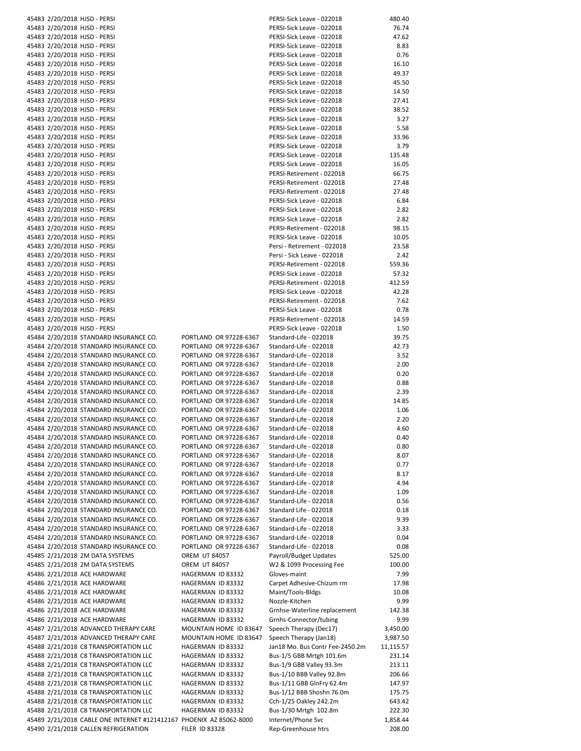|  | 45483 2/20/2018 HJSD - PERSI                                        |                        | PERSI-Sick Leave - 022018       | 480.40    |
|--|---------------------------------------------------------------------|------------------------|---------------------------------|-----------|
|  | 45483 2/20/2018 HJSD - PERSI                                        |                        | PERSI-Sick Leave - 022018       | 76.74     |
|  | 45483 2/20/2018 HJSD - PERSI                                        |                        | PERSI-Sick Leave - 022018       | 47.62     |
|  | 45483 2/20/2018 HJSD - PERSI                                        |                        | PERSI-Sick Leave - 022018       | 8.83      |
|  | 45483 2/20/2018 HJSD - PERSI                                        |                        | PERSI-Sick Leave - 022018       | 0.76      |
|  | 45483 2/20/2018 HJSD - PERSI                                        |                        | PERSI-Sick Leave - 022018       | 16.10     |
|  | 45483 2/20/2018 HJSD - PERSI                                        |                        | PERSI-Sick Leave - 022018       | 49.37     |
|  |                                                                     |                        |                                 |           |
|  | 45483 2/20/2018 HJSD - PERSI                                        |                        | PERSI-Sick Leave - 022018       | 45.50     |
|  | 45483 2/20/2018 HJSD - PERSI                                        |                        | PERSI-Sick Leave - 022018       | 14.50     |
|  | 45483 2/20/2018 HJSD - PERSI                                        |                        | PERSI-Sick Leave - 022018       | 27.41     |
|  | 45483 2/20/2018 HJSD - PERSI                                        |                        | PERSI-Sick Leave - 022018       | 38.52     |
|  | 45483 2/20/2018 HJSD - PERSI                                        |                        | PERSI-Sick Leave - 022018       | 3.27      |
|  | 45483 2/20/2018 HJSD - PERSI                                        |                        | PERSI-Sick Leave - 022018       | 5.58      |
|  | 45483 2/20/2018 HJSD - PERSI                                        |                        | PERSI-Sick Leave - 022018       | 33.96     |
|  | 45483 2/20/2018 HJSD - PERSI                                        |                        | PERSI-Sick Leave - 022018       | 3.79      |
|  | 45483 2/20/2018 HJSD - PERSI                                        |                        | PERSI-Sick Leave - 022018       | 135.48    |
|  | 45483 2/20/2018 HJSD - PERSI                                        |                        | PERSI-Sick Leave - 022018       | 16.05     |
|  | 45483 2/20/2018 HJSD - PERSI                                        |                        | PERSI-Retirement - 022018       | 66.75     |
|  | 45483 2/20/2018 HJSD - PERSI                                        |                        | PERSI-Retirement - 022018       | 27.48     |
|  | 45483 2/20/2018 HJSD - PERSI                                        |                        | PERSI-Retirement - 022018       | 27.48     |
|  | 45483 2/20/2018 HJSD - PERSI                                        |                        | PERSI-Sick Leave - 022018       | 6.84      |
|  |                                                                     |                        |                                 |           |
|  | 45483 2/20/2018 HJSD - PERSI                                        |                        | PERSI-Sick Leave - 022018       | 2.82      |
|  | 45483 2/20/2018 HJSD - PERSI                                        |                        | PERSI-Sick Leave - 022018       | 2.82      |
|  | 45483 2/20/2018 HJSD - PERSI                                        |                        | PERSI-Retirement - 022018       | 98.15     |
|  | 45483 2/20/2018 HJSD - PERSI                                        |                        | PERSI-Sick Leave - 022018       | 10.05     |
|  | 45483 2/20/2018 HJSD - PERSI                                        |                        | Persi - Retirement - 022018     | 23.58     |
|  | 45483 2/20/2018 HJSD - PERSI                                        |                        | Persi - Sick Leave - 022018     | 2.42      |
|  | 45483 2/20/2018 HJSD - PERSI                                        |                        | PERSI-Retirement - 022018       | 559.36    |
|  | 45483 2/20/2018 HJSD - PERSI                                        |                        | PERSI-Sick Leave - 022018       | 57.32     |
|  | 45483 2/20/2018 HJSD - PERSI                                        |                        | PERSI-Retirement - 022018       | 412.59    |
|  | 45483 2/20/2018 HJSD - PERSI                                        |                        | PERSI-Sick Leave - 022018       | 42.28     |
|  | 45483 2/20/2018 HJSD - PERSI                                        |                        | PERSI-Retirement - 022018       | 7.62      |
|  | 45483 2/20/2018 HJSD - PERSI                                        |                        | PERSI-Sick Leave - 022018       | 0.78      |
|  | 45483 2/20/2018 HJSD - PERSI                                        |                        | PERSI-Retirement - 022018       | 14.59     |
|  | 45483 2/20/2018 HJSD - PERSI                                        |                        | PERSI-Sick Leave - 022018       | 1.50      |
|  |                                                                     |                        |                                 |           |
|  | 45484 2/20/2018 STANDARD INSURANCE CO.                              | PORTLAND OR 97228-6367 | Standard-Life - 022018          | 39.75     |
|  | 45484 2/20/2018 STANDARD INSURANCE CO.                              | PORTLAND OR 97228-6367 | Standard-Life - 022018          | 42.73     |
|  | 45484 2/20/2018 STANDARD INSURANCE CO.                              | PORTLAND OR 97228-6367 | Standard-Life - 022018          | 3.52      |
|  | 45484 2/20/2018 STANDARD INSURANCE CO.                              | PORTLAND OR 97228-6367 | Standard-Life - 022018          | 2.00      |
|  | 45484 2/20/2018 STANDARD INSURANCE CO.                              | PORTLAND OR 97228-6367 | Standard-Life - 022018          | 0.20      |
|  | 45484 2/20/2018 STANDARD INSURANCE CO.                              | PORTLAND OR 97228-6367 | Standard-Life - 022018          | 0.88      |
|  | 45484 2/20/2018 STANDARD INSURANCE CO.                              | PORTLAND OR 97228-6367 | Standard-Life - 022018          | 2.39      |
|  | 45484 2/20/2018 STANDARD INSURANCE CO.                              | PORTLAND OR 97228-6367 | Standard-Life - 022018          | 14.85     |
|  | 45484 2/20/2018 STANDARD INSURANCE CO.                              | PORTLAND OR 97228-6367 | Standard-Life - 022018          | 1.06      |
|  | 45484 2/20/2018 STANDARD INSURANCE CO.                              | PORTLAND OR 97228-6367 | Standard-Life - 022018          | 2.20      |
|  | 45484 2/20/2018 STANDARD INSURANCE CO.                              | PORTLAND OR 97228-6367 | Standard-Life - 022018          | 4.60      |
|  | 45484 2/20/2018 STANDARD INSURANCE CO.                              | PORTLAND OR 97228-6367 | Standard-Life - 022018          | 0.40      |
|  | 45484 2/20/2018 STANDARD INSURANCE CO.                              | PORTLAND OR 97228-6367 | Standard-Life - 022018          | 0.80      |
|  | 45484 2/20/2018 STANDARD INSURANCE CO.                              |                        |                                 |           |
|  |                                                                     | PORTLAND OR 97228-6367 | Standard-Life - 022018          | 8.07      |
|  | 45484 2/20/2018 STANDARD INSURANCE CO.                              | PORTLAND OR 97228-6367 | Standard-Life - 022018          | 0.77      |
|  | 45484 2/20/2018 STANDARD INSURANCE CO.                              | PORTLAND OR 97228-6367 | Standard-Life - 022018          | 8.17      |
|  | 45484 2/20/2018 STANDARD INSURANCE CO.                              | PORTLAND OR 97228-6367 | Standard-Life - 022018          | 4.94      |
|  | 45484 2/20/2018 STANDARD INSURANCE CO.                              | PORTLAND OR 97228-6367 | Standard-Life - 022018          | 1.09      |
|  | 45484 2/20/2018 STANDARD INSURANCE CO.                              | PORTLAND OR 97228-6367 | Standard-Life - 022018          | 0.56      |
|  | 45484 2/20/2018 STANDARD INSURANCE CO.                              | PORTLAND OR 97228-6367 | Standard Life - 022018          | 0.18      |
|  | 45484 2/20/2018 STANDARD INSURANCE CO.                              | PORTLAND OR 97228-6367 | Standard-Life - 022018          | 9.39      |
|  | 45484 2/20/2018 STANDARD INSURANCE CO.                              | PORTLAND OR 97228-6367 | Standard-Life - 022018          | 3.33      |
|  | 45484 2/20/2018 STANDARD INSURANCE CO.                              | PORTLAND OR 97228-6367 | Standard-Life - 022018          | 0.04      |
|  | 45484 2/20/2018 STANDARD INSURANCE CO.                              | PORTLAND OR 97228-6367 | Standard-Life - 022018          | 0.08      |
|  | 45485 2/21/2018 2M DATA SYSTEMS                                     | <b>OREM UT 84057</b>   | Payroll/Budget Updates          | 525.00    |
|  | 45485 2/21/2018 2M DATA SYSTEMS                                     | <b>OREM UT 84057</b>   | W2 & 1099 Processing Fee        | 100.00    |
|  |                                                                     |                        |                                 |           |
|  | 45486 2/21/2018 ACE HARDWARE                                        | HAGERMAN ID 83332      | Gloves-maint                    | 7.99      |
|  | 45486 2/21/2018 ACE HARDWARE                                        | HAGERMAN ID 83332      | Carpet Adhesive-Chizum rm       | 17.98     |
|  | 45486 2/21/2018 ACE HARDWARE                                        | HAGERMAN ID 83332      | Maint/Tools-Bldgs               | 10.08     |
|  | 45486 2/21/2018 ACE HARDWARE                                        | HAGERMAN ID 83332      | Nozzle-Kitchen                  | 9.99      |
|  | 45486 2/21/2018 ACE HARDWARE                                        | HAGERMAN ID 83332      | Grnhse-Waterline replacement    | 142.38    |
|  | 45486 2/21/2018 ACE HARDWARE                                        | HAGERMAN ID 83332      | Grnhs-Connector/tubing          | 9.99      |
|  | 45487 2/21/2018 ADVANCED THERAPY CARE                               | MOUNTAIN HOME ID 83647 | Speech Therapy (Dec17)          | 3,450.00  |
|  | 45487 2/21/2018 ADVANCED THERAPY CARE                               | MOUNTAIN HOME ID 83647 | Speech Therapy (Jan18)          | 3,987.50  |
|  | 45488 2/21/2018 C8 TRANSPORTATION LLC                               | HAGERMAN ID 83332      | Jan18 Mo. Bus Contr Fee-2450.2m | 11,115.57 |
|  | 45488 2/21/2018 C8 TRANSPORTATION LLC                               | HAGERMAN ID 83332      | Bus-1/5 GBB Mrtgh 101.6m        | 231.14    |
|  | 45488 2/21/2018 C8 TRANSPORTATION LLC                               | HAGERMAN ID 83332      | Bus-1/9 GBB Valley 93.3m        | 213.11    |
|  | 45488 2/21/2018 C8 TRANSPORTATION LLC                               | HAGERMAN ID 83332      | Bus-1/10 BBB Valley 92.8m       | 206.66    |
|  | 45488 2/21/2018 C8 TRANSPORTATION LLC                               | HAGERMAN ID 83332      | Bus-1/11 GBB GlnFry 62.4m       | 147.97    |
|  | 45488 2/21/2018 C8 TRANSPORTATION LLC                               | HAGERMAN ID 83332      | Bus-1/12 BBB Shoshn 76.0m       | 175.75    |
|  |                                                                     |                        | Cch-1/25 Oakley 242.2m          |           |
|  | 45488 2/21/2018 C8 TRANSPORTATION LLC                               | HAGERMAN ID 83332      |                                 | 643.42    |
|  | 45488 2/21/2018 C8 TRANSPORTATION LLC                               | HAGERMAN ID 83332      | Bus-1/30 Mrtgh 102.8m           | 222.30    |
|  | 45489 2/21/2018 CABLE ONE INTERNET #121412167 PHOENIX AZ 85062-8000 |                        | Internet/Phone Svc              | 1,858.44  |
|  | 45490 2/21/2018 CALLEN REFRIGERATION                                | <b>FILER ID 83328</b>  | Rep-Greenhouse htrs             | 208.00    |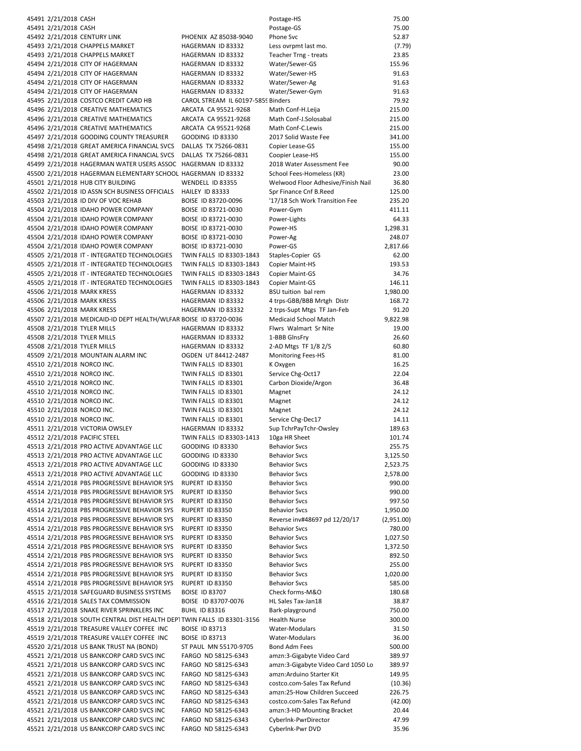| 45491 2/21/2018 CASH |                                                                                                   |                                                | Postage-HS                                                      | 75.00                |
|----------------------|---------------------------------------------------------------------------------------------------|------------------------------------------------|-----------------------------------------------------------------|----------------------|
| 45491 2/21/2018 CASH |                                                                                                   |                                                | Postage-GS                                                      | 75.00                |
|                      | 45492 2/21/2018 CENTURY LINK                                                                      | PHOENIX AZ 85038-9040                          | Phone Svc                                                       | 52.87                |
|                      | 45493 2/21/2018 CHAPPELS MARKET                                                                   | HAGERMAN ID 83332                              | Less ovrpmt last mo.                                            | (7.79)               |
|                      | 45493 2/21/2018 CHAPPELS MARKET                                                                   | HAGERMAN ID 83332                              | Teacher Trng - treats                                           | 23.85                |
|                      | 45494 2/21/2018 CITY OF HAGERMAN<br>45494 2/21/2018 CITY OF HAGERMAN                              | HAGERMAN ID 83332<br>HAGERMAN ID 83332         | Water/Sewer-GS<br>Water/Sewer-HS                                | 155.96<br>91.63      |
|                      | 45494 2/21/2018 CITY OF HAGERMAN                                                                  | HAGERMAN ID 83332                              | Water/Sewer-Ag                                                  | 91.63                |
|                      | 45494 2/21/2018 CITY OF HAGERMAN                                                                  | HAGERMAN ID 83332                              | Water/Sewer-Gym                                                 | 91.63                |
|                      | 45495 2/21/2018 COSTCO CREDIT CARD HB                                                             | CAROL STREAM IL 60197-5859 Binders             |                                                                 | 79.92                |
|                      | 45496 2/21/2018 CREATIVE MATHEMATICS                                                              | ARCATA CA 95521-9268                           | Math Conf-H.Leija                                               | 215.00               |
|                      | 45496 2/21/2018 CREATIVE MATHEMATICS                                                              | ARCATA CA 95521-9268                           | Math Conf-J.Solosabal                                           | 215.00               |
|                      | 45496 2/21/2018 CREATIVE MATHEMATICS                                                              | ARCATA CA 95521-9268                           | Math Conf-C.Lewis                                               | 215.00               |
|                      | 45497 2/21/2018 GOODING COUNTY TREASURER                                                          | GOODING ID 83330                               | 2017 Solid Waste Fee                                            | 341.00               |
|                      | 45498 2/21/2018 GREAT AMERICA FINANCIAL SVCS                                                      | DALLAS TX 75266-0831                           | Copier Lease-GS                                                 | 155.00               |
|                      | 45498 2/21/2018 GREAT AMERICA FINANCIAL SVCS                                                      | DALLAS TX 75266-0831                           | Coopier Lease-HS                                                | 155.00               |
|                      | 45499 2/21/2018 HAGERMAN WATER USERS ASSOC HAGERMAN ID 83332                                      |                                                | 2018 Water Assessment Fee                                       | 90.00<br>23.00       |
|                      | 45500 2/21/2018 HAGERMAN ELEMENTARY SCHOOL HAGERMAN ID 83332<br>45501 2/21/2018 HUB CITY BUILDING | WENDELL ID 83355                               | School Fees-Homeless (KR)<br>Welwood Floor Adhesive/Finish Nail | 36.80                |
|                      | 45502 2/21/2018 ID ASSN SCH BUSINESS OFFICIALS                                                    | HAILEY ID 83333                                | Spr Finance Cnf B.Reed                                          | 125.00               |
|                      | 45503 2/21/2018 ID DIV OF VOC REHAB                                                               | BOISE ID 83720-0096                            | '17/18 Sch Work Transition Fee                                  | 235.20               |
|                      | 45504 2/21/2018 IDAHO POWER COMPANY                                                               | BOISE ID 83721-0030                            | Power-Gym                                                       | 411.11               |
|                      | 45504 2/21/2018 IDAHO POWER COMPANY                                                               | BOISE ID 83721-0030                            | Power-Lights                                                    | 64.33                |
|                      | 45504 2/21/2018 IDAHO POWER COMPANY                                                               | BOISE ID 83721-0030                            | Power-HS                                                        | 1,298.31             |
|                      | 45504 2/21/2018 IDAHO POWER COMPANY                                                               | BOISE ID 83721-0030                            | Power-Ag                                                        | 248.07               |
|                      | 45504 2/21/2018 IDAHO POWER COMPANY                                                               | BOISE ID 83721-0030                            | Power-GS                                                        | 2,817.66             |
|                      | 45505 2/21/2018 IT - INTEGRATED TECHNOLOGIES                                                      | TWIN FALLS ID 83303-1843                       | Staples-Copier GS                                               | 62.00                |
|                      | 45505 2/21/2018 IT - INTEGRATED TECHNOLOGIES                                                      | TWIN FALLS ID 83303-1843                       | <b>Copier Maint-HS</b>                                          | 193.53               |
|                      | 45505 2/21/2018 IT - INTEGRATED TECHNOLOGIES                                                      | TWIN FALLS ID 83303-1843                       | <b>Copier Maint-GS</b>                                          | 34.76                |
|                      | 45505 2/21/2018 IT - INTEGRATED TECHNOLOGIES                                                      | TWIN FALLS ID 83303-1843                       | Copier Maint-GS                                                 | 146.11               |
|                      | 45506 2/21/2018 MARK KRESS<br>45506 2/21/2018 MARK KRESS                                          | HAGERMAN ID 83332<br>HAGERMAN ID 83332         | BSU tuition bal rem<br>4 trps-GBB/BBB Mrtgh Distr               | 1,980.00<br>168.72   |
|                      | 45506 2/21/2018 MARK KRESS                                                                        | HAGERMAN ID 83332                              | 2 trps-Supt Mtgs TF Jan-Feb                                     | 91.20                |
|                      | 45507 2/21/2018 MEDICAID-ID DEPT HEALTH/WLFAR BOISE ID 83720-0036                                 |                                                | <b>Medicaid School Match</b>                                    | 9,822.98             |
|                      | 45508 2/21/2018 TYLER MILLS                                                                       | HAGERMAN ID 83332                              | Flwrs Walmart Sr Nite                                           | 19.00                |
|                      | 45508 2/21/2018 TYLER MILLS                                                                       | HAGERMAN ID 83332                              | 1-BBB GlnsFry                                                   | 26.60                |
|                      | 45508 2/21/2018 TYLER MILLS                                                                       | HAGERMAN ID 83332                              | 2-AD Mtgs TF 1/8 2/5                                            | 60.80                |
|                      | 45509 2/21/2018 MOUNTAIN ALARM INC                                                                | OGDEN UT 84412-2487                            | <b>Monitoring Fees-HS</b>                                       | 81.00                |
|                      | 45510 2/21/2018 NORCO INC.                                                                        | TWIN FALLS ID 83301                            | K Oxygen                                                        | 16.25                |
|                      | 45510 2/21/2018 NORCO INC.                                                                        | TWIN FALLS ID 83301                            | Service Chg-Oct17                                               | 22.04                |
|                      | 45510 2/21/2018 NORCO INC.                                                                        | TWIN FALLS ID 83301                            | Carbon Dioxide/Argon                                            | 36.48                |
|                      | 45510 2/21/2018 NORCO INC.                                                                        | TWIN FALLS ID 83301                            | Magnet                                                          | 24.12                |
|                      | 45510 2/21/2018 NORCO INC.                                                                        | TWIN FALLS ID 83301                            | Magnet                                                          | 24.12                |
|                      | 45510 2/21/2018 NORCO INC.                                                                        | TWIN FALLS ID 83301<br>TWIN FALLS ID 83301     | Magnet                                                          | 24.12<br>14.11       |
|                      | 45510 2/21/2018 NORCO INC.<br>45511 2/21/2018 VICTORIA OWSLEY                                     | HAGERMAN ID 83332                              | Service Chg-Dec17<br>Sup TchrPayTchr-Owsley                     | 189.63               |
|                      | 45512 2/21/2018 PACIFIC STEEL                                                                     | TWIN FALLS ID 83303-1413                       | 10ga HR Sheet                                                   | 101.74               |
|                      | 45513 2/21/2018 PRO ACTIVE ADVANTAGE LLC                                                          | <b>GOODING ID 83330</b>                        | <b>Behavior Svcs</b>                                            | 255.75               |
|                      | 45513 2/21/2018 PRO ACTIVE ADVANTAGE LLC                                                          | GOODING ID 83330                               | <b>Behavior Svcs</b>                                            | 3,125.50             |
|                      | 45513 2/21/2018 PRO ACTIVE ADVANTAGE LLC                                                          | GOODING ID 83330                               | <b>Behavior Svcs</b>                                            | 2,523.75             |
|                      | 45513 2/21/2018 PRO ACTIVE ADVANTAGE LLC                                                          | GOODING ID 83330                               | <b>Behavior Svcs</b>                                            | 2,578.00             |
|                      | 45514 2/21/2018 PBS PROGRESSIVE BEHAVIOR SYS                                                      | RUPERT ID 83350                                | <b>Behavior Svcs</b>                                            | 990.00               |
|                      | 45514 2/21/2018 PBS PROGRESSIVE BEHAVIOR SYS                                                      | RUPERT ID 83350                                | <b>Behavior Svcs</b>                                            | 990.00               |
|                      | 45514 2/21/2018 PBS PROGRESSIVE BEHAVIOR SYS                                                      | RUPERT ID 83350                                | <b>Behavior Svcs</b>                                            | 997.50               |
|                      | 45514 2/21/2018 PBS PROGRESSIVE BEHAVIOR SYS                                                      | RUPERT ID 83350                                | <b>Behavior Svcs</b>                                            | 1,950.00             |
|                      | 45514 2/21/2018 PBS PROGRESSIVE BEHAVIOR SYS<br>45514 2/21/2018 PBS PROGRESSIVE BEHAVIOR SYS      | RUPERT ID 83350<br>RUPERT ID 83350             | Reverse inv#48697 pd 12/20/17<br><b>Behavior Svcs</b>           | (2,951.00)<br>780.00 |
|                      | 45514 2/21/2018 PBS PROGRESSIVE BEHAVIOR SYS                                                      | RUPERT ID 83350                                | <b>Behavior Svcs</b>                                            | 1,027.50             |
|                      | 45514 2/21/2018 PBS PROGRESSIVE BEHAVIOR SYS                                                      | RUPERT ID 83350                                | <b>Behavior Svcs</b>                                            | 1,372.50             |
|                      | 45514 2/21/2018 PBS PROGRESSIVE BEHAVIOR SYS                                                      | RUPERT ID 83350                                | <b>Behavior Svcs</b>                                            | 892.50               |
|                      | 45514 2/21/2018 PBS PROGRESSIVE BEHAVIOR SYS                                                      | RUPERT ID 83350                                | <b>Behavior Svcs</b>                                            | 255.00               |
|                      | 45514 2/21/2018 PBS PROGRESSIVE BEHAVIOR SYS                                                      | RUPERT ID 83350                                | <b>Behavior Svcs</b>                                            | 1,020.00             |
|                      | 45514 2/21/2018 PBS PROGRESSIVE BEHAVIOR SYS                                                      | RUPERT ID 83350                                | <b>Behavior Svcs</b>                                            | 585.00               |
|                      | 45515 2/21/2018 SAFEGUARD BUSINESS SYSTEMS                                                        | <b>BOISE ID 83707</b>                          | Check forms-M&O                                                 | 180.68               |
|                      | 45516 2/21/2018 SALES TAX COMMISSION                                                              | BOISE ID 83707-0076                            | HL Sales Tax-Jan18                                              | 38.87                |
|                      | 45517 2/21/2018 SNAKE RIVER SPRINKLERS INC                                                        | <b>BUHL ID 83316</b>                           | Bark-playground                                                 | 750.00               |
|                      | 45518 2/21/2018 SOUTH CENTRAL DIST HEALTH DEP1 TWIN FALLS ID 83301-3156                           |                                                | <b>Health Nurse</b>                                             | 300.00               |
|                      | 45519 2/21/2018 TREASURE VALLEY COFFEE INC<br>45519 2/21/2018 TREASURE VALLEY COFFEE INC          | <b>BOISE ID 83713</b><br><b>BOISE ID 83713</b> | Water-Modulars<br>Water-Modulars                                | 31.50<br>36.00       |
|                      | 45520 2/21/2018 US BANK TRUST NA (BOND)                                                           | ST PAUL MN 55170-9705                          | Bond Adm Fees                                                   | 500.00               |
|                      | 45521 2/21/2018 US BANKCORP CARD SVCS INC                                                         | FARGO ND 58125-6343                            | amzn:3-Gigabyte Video Card                                      | 389.97               |
|                      | 45521 2/21/2018 US BANKCORP CARD SVCS INC                                                         | FARGO ND 58125-6343                            | amzn:3-Gigabyte Video Card 1050 Lo                              | 389.97               |
|                      | 45521 2/21/2018 US BANKCORP CARD SVCS INC                                                         | FARGO ND 58125-6343                            | amzn:Arduino Starter Kit                                        | 149.95               |
|                      | 45521 2/21/2018 US BANKCORP CARD SVCS INC                                                         | FARGO ND 58125-6343                            | costco.com-Sales Tax Refund                                     | (10.36)              |
|                      | 45521 2/21/2018 US BANKCORP CARD SVCS INC                                                         | FARGO ND 58125-6343                            | amzn:25-How Children Succeed                                    | 226.75               |
|                      | 45521 2/21/2018 US BANKCORP CARD SVCS INC                                                         | FARGO ND 58125-6343                            | costco.com-Sales Tax Refund                                     | (42.00)              |
|                      | 45521 2/21/2018 US BANKCORP CARD SVCS INC                                                         | FARGO ND 58125-6343                            | amzn:3-HD Mounting Bracket                                      | 20.44                |
|                      | 45521 2/21/2018 US BANKCORP CARD SVCS INC                                                         | FARGO ND 58125-6343                            | CyberInk-PwrDirector                                            | 47.99                |
|                      | 45521 2/21/2018 US BANKCORP CARD SVCS INC                                                         | FARGO ND 58125-6343                            | Cyberlnk-Pwr DVD                                                | 35.96                |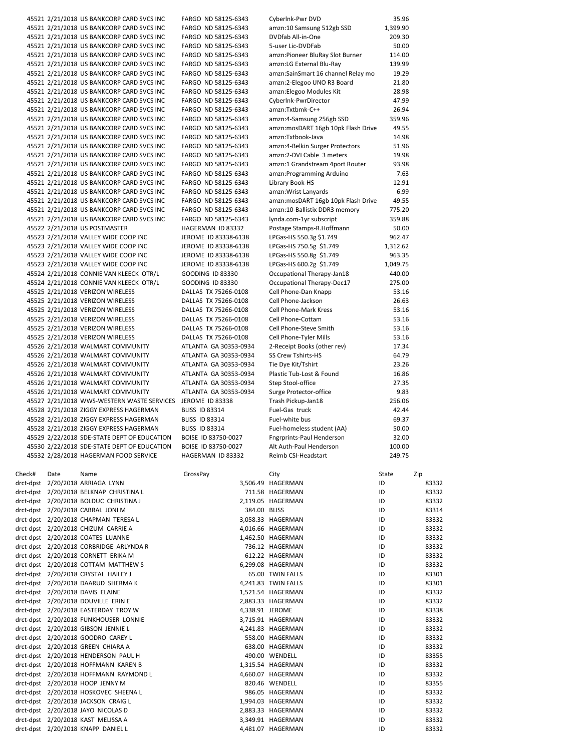|        |      | 45521 2/21/2018 US BANKCORP CARD SVCS INC   | FARGO ND 58125-6343     | Cyberlnk-Pwr DVD                   | 35.96    |       |
|--------|------|---------------------------------------------|-------------------------|------------------------------------|----------|-------|
|        |      | 45521 2/21/2018 US BANKCORP CARD SVCS INC   | FARGO ND 58125-6343     | amzn:10 Samsung 512gb SSD          | 1,399.90 |       |
|        |      | 45521 2/21/2018 US BANKCORP CARD SVCS INC   | FARGO ND 58125-6343     | DVDfab All-in-One                  | 209.30   |       |
|        |      | 45521 2/21/2018 US BANKCORP CARD SVCS INC   | FARGO ND 58125-6343     | 5-user Lic-DVDFab                  | 50.00    |       |
|        |      | 45521 2/21/2018 US BANKCORP CARD SVCS INC   | FARGO ND 58125-6343     | amzn:Pioneer BluRay Slot Burner    | 114.00   |       |
|        |      | 45521 2/21/2018 US BANKCORP CARD SVCS INC   | FARGO ND 58125-6343     | amzn:LG External Blu-Ray           | 139.99   |       |
|        |      | 45521 2/21/2018 US BANKCORP CARD SVCS INC   | FARGO ND 58125-6343     | amzn:SainSmart 16 channel Relay mo | 19.29    |       |
|        |      | 45521 2/21/2018 US BANKCORP CARD SVCS INC   | FARGO ND 58125-6343     | amzn:2-Elegoo UNO R3 Board         | 21.80    |       |
|        |      | 45521 2/21/2018 US BANKCORP CARD SVCS INC   | FARGO ND 58125-6343     | amzn:Elegoo Modules Kit            | 28.98    |       |
|        |      | 45521 2/21/2018 US BANKCORP CARD SVCS INC   | FARGO ND 58125-6343     | CyberInk-PwrDirector               | 47.99    |       |
|        |      | 45521 2/21/2018 US BANKCORP CARD SVCS INC   | FARGO ND 58125-6343     | amzn:Txtbmk-C++                    | 26.94    |       |
|        |      | 45521 2/21/2018 US BANKCORP CARD SVCS INC   | FARGO ND 58125-6343     | amzn:4-Samsung 256gb SSD           | 359.96   |       |
|        |      | 45521 2/21/2018 US BANKCORP CARD SVCS INC   | FARGO ND 58125-6343     | amzn:mosDART 16gb 10pk Flash Drive | 49.55    |       |
|        |      | 45521 2/21/2018 US BANKCORP CARD SVCS INC   | FARGO ND 58125-6343     | amzn:Txtbook-Java                  | 14.98    |       |
|        |      | 45521 2/21/2018 US BANKCORP CARD SVCS INC   | FARGO ND 58125-6343     | amzn:4-Belkin Surger Protectors    | 51.96    |       |
|        |      | 45521 2/21/2018 US BANKCORP CARD SVCS INC   | FARGO ND 58125-6343     | amzn:2-DVI Cable 3 meters          | 19.98    |       |
|        |      | 45521 2/21/2018 US BANKCORP CARD SVCS INC   | FARGO ND 58125-6343     | amzn:1 Grandstream 4port Router    | 93.98    |       |
|        |      | 45521 2/21/2018 US BANKCORP CARD SVCS INC   | FARGO ND 58125-6343     | amzn:Programming Arduino           | 7.63     |       |
|        |      | 45521 2/21/2018 US BANKCORP CARD SVCS INC   | FARGO ND 58125-6343     |                                    | 12.91    |       |
|        |      |                                             |                         | Library Book-HS                    |          |       |
|        |      | 45521 2/21/2018 US BANKCORP CARD SVCS INC   | FARGO ND 58125-6343     | amzn: Wrist Lanyards               | 6.99     |       |
|        |      | 45521 2/21/2018 US BANKCORP CARD SVCS INC   | FARGO ND 58125-6343     | amzn:mosDART 16gb 10pk Flash Drive | 49.55    |       |
|        |      | 45521 2/21/2018 US BANKCORP CARD SVCS INC   | FARGO ND 58125-6343     | amzn:10-Ballistix DDR3 memory      | 775.20   |       |
|        |      | 45521 2/21/2018 US BANKCORP CARD SVCS INC   | FARGO ND 58125-6343     | lynda.com-1yr subscript            | 359.88   |       |
|        |      | 45522 2/21/2018 US POSTMASTER               | HAGERMAN ID 83332       | Postage Stamps-R.Hoffmann          | 50.00    |       |
|        |      | 45523 2/21/2018 VALLEY WIDE COOP INC        | JEROME ID 83338-6138    | LPGas-HS 550.3g \$1.749            | 962.47   |       |
|        |      | 45523 2/21/2018 VALLEY WIDE COOP INC        | JEROME ID 83338-6138    | LPGas-HS 750.5g \$1.749            | 1,312.62 |       |
|        |      | 45523 2/21/2018 VALLEY WIDE COOP INC        | JEROME ID 83338-6138    | LPGas-HS 550.8g \$1.749            | 963.35   |       |
|        |      | 45523 2/21/2018 VALLEY WIDE COOP INC        | JEROME ID 83338-6138    | LPGas-HS 600.2g \$1.749            | 1,049.75 |       |
|        |      | 45524 2/21/2018 CONNIE VAN KLEECK OTR/L     | <b>GOODING ID 83330</b> | Occupational Therapy-Jan18         | 440.00   |       |
|        |      | 45524 2/21/2018 CONNIE VAN KLEECK OTR/L     | GOODING ID 83330        | Occupational Therapy-Dec17         | 275.00   |       |
|        |      | 45525 2/21/2018 VERIZON WIRELESS            | DALLAS TX 75266-0108    | Cell Phone-Dan Knapp               | 53.16    |       |
|        |      | 45525 2/21/2018 VERIZON WIRELESS            | DALLAS TX 75266-0108    | Cell Phone-Jackson                 | 26.63    |       |
|        |      | 45525 2/21/2018 VERIZON WIRELESS            | DALLAS TX 75266-0108    | <b>Cell Phone-Mark Kress</b>       | 53.16    |       |
|        |      | 45525 2/21/2018 VERIZON WIRELESS            | DALLAS TX 75266-0108    | Cell Phone-Cottam                  | 53.16    |       |
|        |      | 45525 2/21/2018 VERIZON WIRELESS            | DALLAS TX 75266-0108    | Cell Phone-Steve Smith             | 53.16    |       |
|        |      | 45525 2/21/2018 VERIZON WIRELESS            | DALLAS TX 75266-0108    | Cell Phone-Tyler Mills             | 53.16    |       |
|        |      | 45526 2/21/2018 WALMART COMMUNITY           | ATLANTA GA 30353-0934   | 2-Receipt Books (other rev)        | 17.34    |       |
|        |      | 45526 2/21/2018 WALMART COMMUNITY           | ATLANTA GA 30353-0934   | SS Crew Tshirts-HS                 | 64.79    |       |
|        |      | 45526 2/21/2018 WALMART COMMUNITY           | ATLANTA GA 30353-0934   | Tie Dye Kit/Tshirt                 | 23.26    |       |
|        |      | 45526 2/21/2018 WALMART COMMUNITY           | ATLANTA GA 30353-0934   | Plastic Tub-Lost & Found           | 16.86    |       |
|        |      | 45526 2/21/2018 WALMART COMMUNITY           | ATLANTA GA 30353-0934   | Step Stool-office                  | 27.35    |       |
|        |      | 45526 2/21/2018 WALMART COMMUNITY           | ATLANTA GA 30353-0934   | Surge Protector-office             | 9.83     |       |
|        |      | 45527 2/21/2018 WWS-WESTERN WASTE SERVICES  | JEROME ID 83338         | Trash Pickup-Jan18                 | 256.06   |       |
|        |      | 45528 2/21/2018 ZIGGY EXPRESS HAGERMAN      | <b>BLISS ID 83314</b>   | Fuel-Gas truck                     | 42.44    |       |
|        |      | 45528 2/21/2018 ZIGGY EXPRESS HAGERMAN      | <b>BLISS ID 83314</b>   | Fuel-white bus                     | 69.37    |       |
|        |      | 45528 2/21/2018 ZIGGY EXPRESS HAGERMAN      | <b>BLISS ID 83314</b>   | Fuel-homeless student (AA)         | 50.00    |       |
|        |      | 45529 2/22/2018 SDE-STATE DEPT OF EDUCATION | BOISE ID 83750-0027     | <b>Fngrprints-Paul Henderson</b>   | 32.00    |       |
|        |      | 45530 2/22/2018 SDE-STATE DEPT OF EDUCATION | BOISE ID 83750-0027     | Alt Auth-Paul Henderson            | 100.00   |       |
|        |      | 45532 2/28/2018 HAGERMAN FOOD SERVICE       | HAGERMAN ID 83332       | Reimb CSI-Headstart                | 249.75   |       |
|        |      |                                             |                         |                                    |          |       |
| Check# | Date | Name                                        | GrossPay                | City                               | State    | Zip   |
|        |      |                                             |                         |                                    |          |       |
|        |      | drct-dpst 2/20/2018 ARRIAGA LYNN            |                         | 3,506.49 HAGERMAN                  | ID       | 83332 |
|        |      | drct-dpst 2/20/2018 BELKNAP CHRISTINA L     |                         | 711.58 HAGERMAN                    | ID       | 83332 |
|        |      | drct-dpst 2/20/2018 BOLDUC CHRISTINA J      |                         | 2,119.05 HAGERMAN                  | ID       | 83332 |
|        |      | drct-dpst 2/20/2018 CABRAL JONI M           | 384.00 BLISS            |                                    | ID       | 83314 |
|        |      | drct-dpst 2/20/2018 CHAPMAN TERESA L        |                         | 3,058.33 HAGERMAN                  | ID       | 83332 |
|        |      | drct-dpst 2/20/2018 CHIZUM CARRIE A         |                         | 4,016.66 HAGERMAN                  | ID       | 83332 |
|        |      | drct-dpst 2/20/2018 COATES LUANNE           |                         | 1,462.50 HAGERMAN                  | ID       | 83332 |
|        |      | drct-dpst 2/20/2018 CORBRIDGE ARLYNDA R     |                         | 736.12 HAGERMAN                    | ID       | 83332 |
|        |      | drct-dpst 2/20/2018 CORNETT ERIKA M         |                         | 612.22 HAGERMAN                    | ID       | 83332 |
|        |      | drct-dpst 2/20/2018 COTTAM MATTHEW S        |                         | 6,299.08 HAGERMAN                  | ID       | 83332 |
|        |      | drct-dpst   2/20/2018 CRYSTAL HAILEY J      |                         | 65.00 TWIN FALLS                   | ID       | 83301 |
|        |      | drct-dpst    2/20/2018  DAARUD  SHERMA K    |                         | 4,241.83 TWIN FALLS                | ID       | 83301 |
|        |      | drct-dpst 2/20/2018 DAVIS ELAINE            |                         | 1,521.54 HAGERMAN                  | ID       | 83332 |
|        |      | drct-dpst 2/20/2018 DOUVILLE ERIN E         |                         | 2,883.33 HAGERMAN                  | ID       | 83332 |
|        |      | drct-dpst 2/20/2018 EASTERDAY TROY W        | 4,338.91 JEROME         |                                    | ID       | 83338 |
|        |      | drct-dpst 2/20/2018 FUNKHOUSER LONNIE       |                         | 3,715.91 HAGERMAN                  | ID       | 83332 |
|        |      | drct-dpst   2/20/2018  GIBSON  JENNIE L     |                         | 4,241.83 HAGERMAN                  | ID       | 83332 |
|        |      | drct-dpst 2/20/2018 GOODRO CAREY L          |                         | 558.00 HAGERMAN                    | ID       | 83332 |
|        |      | drct-dpst 2/20/2018 GREEN CHIARA A          |                         | 638.00 HAGERMAN                    | ID       | 83332 |
|        |      | drct-dpst 2/20/2018 HENDERSON PAUL H        |                         | 490.00 WENDELL                     | ID       | 83355 |
|        |      | drct-dpst 2/20/2018 HOFFMANN KAREN B        |                         | 1,315.54 HAGERMAN                  | ID       | 83332 |
|        |      | drct-dpst 2/20/2018 HOFFMANN RAYMOND L      |                         | 4,660.07 HAGERMAN                  | ID       | 83332 |
|        |      | drct-dpst    2/20/2018  HOOP  JENNY M       |                         | 820.46 WENDELL                     | ID       | 83355 |
|        |      | drct-dpst 2/20/2018 HOSKOVEC SHEENA L       |                         | 986.05 HAGERMAN                    | ID       | 83332 |
|        |      | drct-dpst 2/20/2018 JACKSON CRAIG L         |                         | 1,994.03 HAGERMAN                  | ID       | 83332 |
|        |      | drct-dpst 2/20/2018 JAYO NICOLAS D          |                         | 2,883.33 HAGERMAN                  | ID       | 83332 |
|        |      | drct-dpst 2/20/2018 KAST MELISSA A          |                         | 3,349.91 HAGERMAN                  | ID       | 83332 |
|        |      | drct-dpst 2/20/2018 KNAPP DANIEL L          |                         | 4,481.07 HAGERMAN                  | ID       | 83332 |
|        |      |                                             |                         |                                    |          |       |